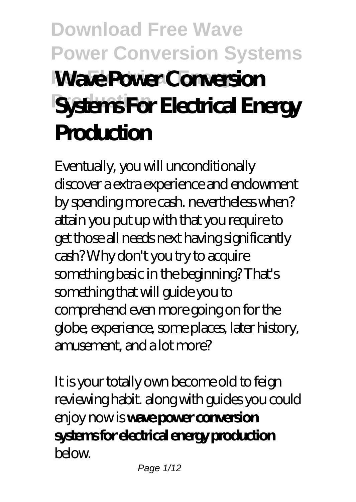# **Download Free Wave Power Conversion Systems Wave Power Conversion Systems For Electrical Energy Production**

Eventually, you will unconditionally discover a extra experience and endowment by spending more cash. nevertheless when? attain you put up with that you require to get those all needs next having significantly cash? Why don't you try to acquire something basic in the beginning? That's something that will guide you to comprehend even more going on for the globe, experience, some places, later history, amusement, and a lot more?

It is your totally own become old to feign reviewing habit. along with guides you could enjoy now is **wave power conversion systems for electrical energy production** below.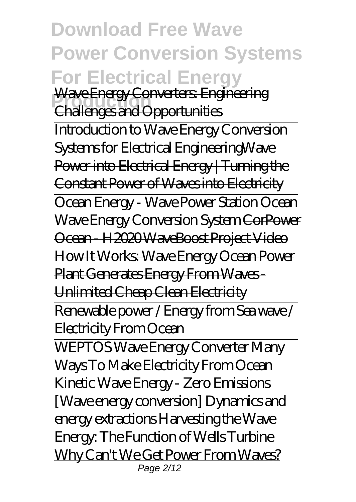**Download Free Wave Power Conversion Systems For Electrical Energy Wave Energy Converters: Engineering** Challenges and Opportunities Introduction to Wave Energy Conversion Systems for Electrical EngineeringWave Power into Electrical Energy | Turning the Constant Power of Waves into Electricity Ocean Energy - Wave Power Station Ocean Wave Energy Conversion System CorPower Ocean - H2020 WaveBoost Project Video How It Works: Wave Energy Ocean Power Plant Generates Energy From Waves - Unlimited Cheap Clean Electricity Renewable power / Energy from Sea wave / Electricity From Ocean WEPTOS Wave Energy Converter Many Ways To Make Electricity From Ocean Kinetic Wave Energy - Zero Emissions [Wave energy conversion] Dynamics and energy extractions *Harvesting the Wave*

*Energy: The Function of Wells Turbine* Why Can't We Get Power From Waves? Page 2/12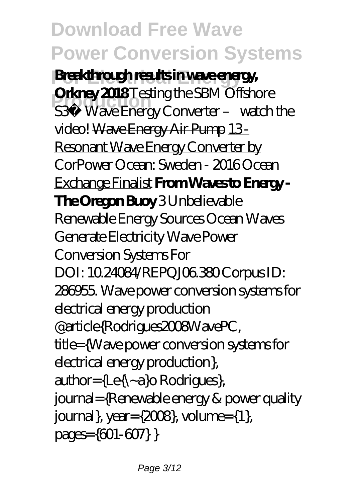**For Electrical Energy Breakthrough results in wave energy, Production Converter – watch the**<br> *S3®* Wave Energy Converter – watch the **Orkney 2018** *Testing the SBM Offshore video!* Wave Energy Air Pump 13 - Resonant Wave Energy Converter by CorPower Ocean: Sweden - 2016 Ocean Exchange Finalist **From Waves to Energy - The Oregon Buoy** *3 Unbelievable Renewable Energy Sources Ocean Waves Generate Electricity Wave Power Conversion Systems For* DOI: 10.24084/REPQJ06.380 Corpus ID: 286955. Wave power conversion systems for electrical energy production @article{Rodrigues2008WavePC, title={Wave power conversion systems for electrical energy production},  $\text{author} = \{ \text{Le} \} \sim \text{a} \} \text{ of } \text{R}$ journal={Renewable energy & power quality journal}, year= $\{2008\}$ , volume= $\{1\}$ , pages={601-607} }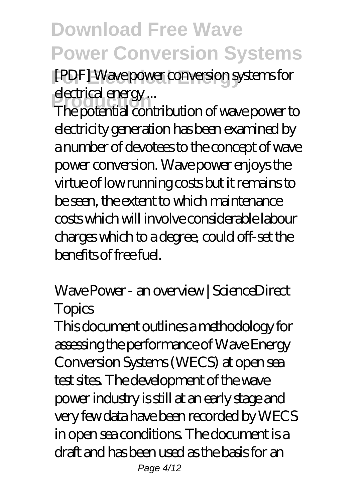**For Electrical Energy** *[PDF] Wave power conversion systems for electrical energy ...*

eled *ale alergy*...<br>The potential contribution of wave power to electricity generation has been examined by a number of devotees to the concept of wave power conversion. Wave power enjoys the virtue of low running costs but it remains to be seen, the extent to which maintenance costs which will involve considerable labour charges which to a degree, could off-set the  $b$ enefits of free fuel.

#### *Wave Power - an overview | ScienceDirect Topics*

This document outlines a methodology for assessing the performance of Wave Energy Conversion Systems (WECS) at open sea test sites. The development of the wave power industry is still at an early stage and very few data have been recorded by WECS in open sea conditions. The document is a draft and has been used as the basis for an Page 4/12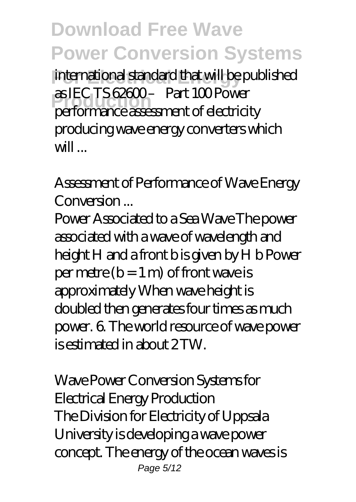**For Electrical Energy** international standard that will be published **Production CEO 15 december 15 december 2016**<br>
performance assessment of electricity as IEC TS 62600 – Part 100 Power producing wave energy converters which will ...

*Assessment of Performance of Wave Energy Conversion ...*

Power Associated to a Sea Wave The power associated with a wave of wavelength and height H and a front b is given by H b Power per metre  $(b = 1 m)$  of front wave is approximately When wave height is doubled then generates four times as much power. 6. The world resource of wave power is estimated in about 2 TW.

*Wave Power Conversion Systems for Electrical Energy Production* The Division for Electricity of Uppsala University is developing a wave power concept. The energy of the ocean waves is Page 5/12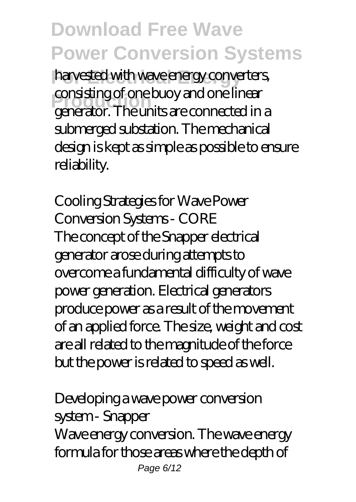harvested with wave energy converters, **Production** consisting of one buoy and one linear generator. The units are connected in a submerged substation. The mechanical design is kept as simple as possible to ensure reliability.

*Cooling Strategies for Wave Power Conversion Systems - CORE* The concept of the Snapper electrical generator arose during attempts to overcome a fundamental difficulty of wave power generation. Electrical generators produce power as a result of the movement of an applied force. The size, weight and cost are all related to the magnitude of the force but the power is related to speed as well.

#### *Developing a wave power conversion system - Snapper* Wave energy conversion. The wave energy formula for those areas where the depth of Page 6/12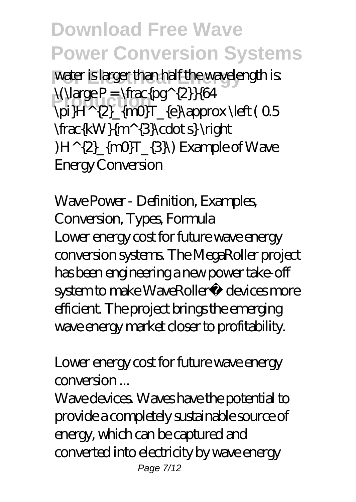water is larger than half the wavelength is:  $\langle \langle \langle \rangle \rangle = \frac{pq}{2}$  $\pi$ }H^{2}  $\{mQ$ T  $\{e\}$  approx  $\left( 0.5 \right)$ \frac{kW}{m^{3}\cdot s} \right  $(H^{(2)}_{\text{max}}[m0]T_{3})$  Example of Wave Energy Conversion

*Wave Power - Definition, Examples, Conversion, Types, Formula* Lower energy cost for future wave energy conversion systems. The MegaRoller project has been engineering a new power take-off system to make WaveRoller<sup>®</sup> devices more efficient. The project brings the emerging wave energy market closer to profitability.

*Lower energy cost for future wave energy conversion ...*

Wave devices. Waves have the potential to provide a completely sustainable source of energy, which can be captured and converted into electricity by wave energy Page 7/12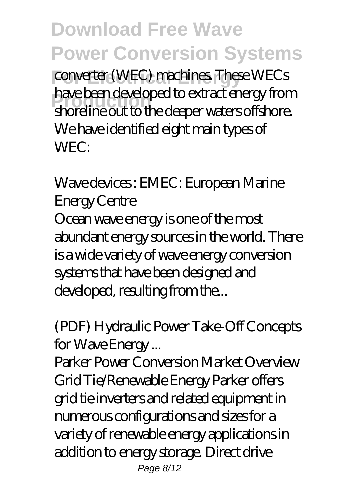**For Electrical Energy** converter (WEC) machines. These WECs **Production** shoreline out to the deeper waters offshore. have been developed to extract energy from We have identified eight main types of WEC:

#### *Wave devices : EMEC: European Marine Energy Centre*

Ocean wave energy is one of the most abundant energy sources in the world. There is a wide variety of wave energy conversion systems that have been designed and developed, resulting from the...

### *(PDF) Hydraulic Power Take-Off Concepts for Wave Energy ...*

Parker Power Conversion Market Overview Grid Tie/Renewable Energy Parker offers grid tie inverters and related equipment in numerous configurations and sizes for a variety of renewable energy applications in addition to energy storage. Direct drive Page 8/12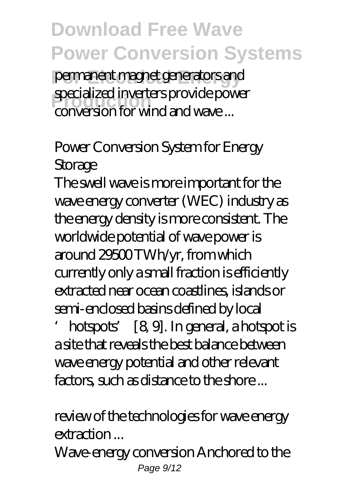**For Electrical Energy** permanent magnet generators and **Production** conversion for wind and wave ... specialized inverters provide power

### *Power Conversion System for Energy Storage*

The swell wave is more important for the wave energy converter (WEC) industry as the energy density is more consistent. The worldwide potential of wave power is around 29500 TWh/yr, from which currently only a small fraction is efficiently extracted near ocean coastlines, islands or semi-enclosed basins defined by local

'hotspots' [8, 9]. In general, a hotspot is a site that reveals the best balance between wave energy potential and other relevant factors, such as distance to the shore ...

#### *review of the technologies for wave energy extraction ...*

Wave-energy conversion Anchored to the Page  $9/12$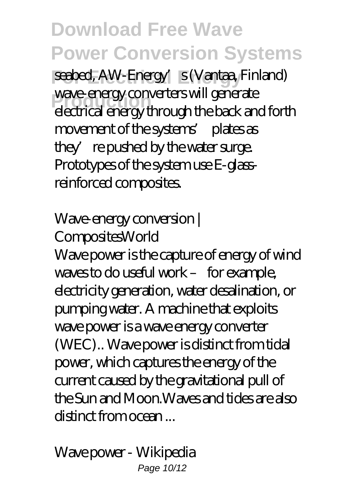seabed, AW-Energy's (Vantaa, Finland) wave energy conveners will generate<br>electrical energy through the back and forth wave-energy converters will generate movement of the systems' plates as they' repushed by the water surge. Prototypes of the system use E-glassreinforced composites.

#### *Wave-energy conversion | CompositesWorld*

Wave power is the capture of energy of wind waves to do useful work – for example, electricity generation, water desalination, or pumping water. A machine that exploits wave power is a wave energy converter (WEC).. Wave power is distinct from tidal power, which captures the energy of the current caused by the gravitational pull of the Sun and Moon.Waves and tides are also distinct from ocean ...

*Wave power - Wikipedia* Page 10/12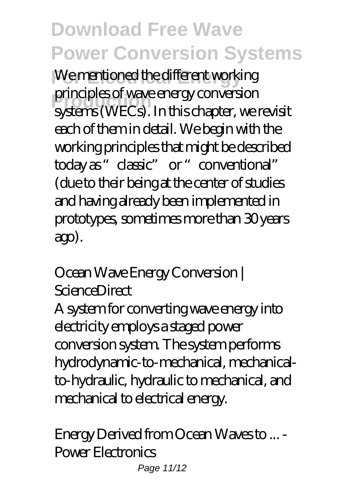We mentioned the different working principles of wave energy conversion<br>systems (WECs). In this chapter, we revisit principles of wave energy conversion each of them in detail. We begin with the working principles that might be described today as "classic" or "conventional" (due to their being at the center of studies and having already been implemented in prototypes, sometimes more than 30 years ago).

#### *Ocean Wave Energy Conversion | ScienceDirect*

A system for converting wave energy into electricity employs a staged power conversion system. The system performs hydrodynamic-to-mechanical, mechanicalto-hydraulic, hydraulic to mechanical, and mechanical to electrical energy.

*Energy Derived from Ocean Waves to ... - Power Electronics* Page 11/12